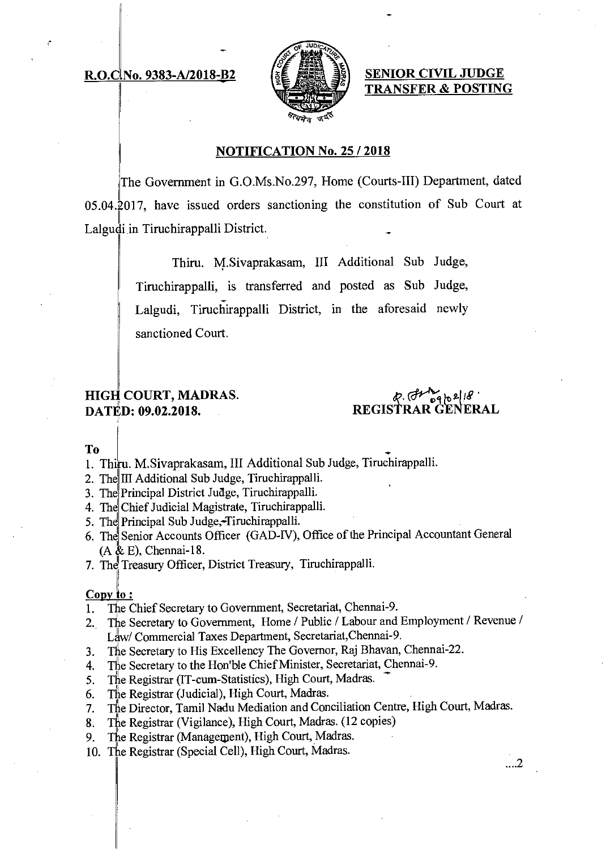## **R.O.C.No. 9383-A/2018-B2**



**SENIOR CIVIL JUDGE TRANSFER & POSTING** 

#### **NOTIFICATION No. 25 / 2018**

The Government in G.O.Ms.No.297, Home (Courts-III) Department, dated 05.04.2017, have issued orders sanctioning the constitution of Sub Court at Lalgudi in Tiruchirappalli District.

> Thiru. M.Sivaprakasam, III Additional Sub Judge, Tiruchirappalli, is transferred and posted as Sub Judge, Lalgudi, Tiruchirappalli District, in the aforesaid newly sanctioned Court.

# **HIGH COURT, MADRAS. DATED: 09.02.2018.**

 $696218$ **REGISTRAR GENERAL** 

#### **To**

- 1. Thiru. M.Sivaprakasam, III Additional Sub Judge, Tiruchirappalli.
- 2. The III Additional Sub Judge, Tiruchirappalli.
- 3. The Principal District Judge, Tiruchirappalli.
- 4. The Chief Judicial Magistrate, Tiruchirappalli.
- 5. The Principal Sub Judge, Tiruchirappalli.
- 6. The Senior Accounts Officer (GAD-IV), Office of the Principal Accountant General (A & E), Chennai-18.
- 7. The Treasury Officer, District Treasury, Tiruchirappalli.

#### Copy to:

- 1. The Chief Secretary to Government, Secretariat, Chennai-9.
- 2. The Secretary to Government, Home / Public / Labour and Employment / Revenue / Law/ Commercial Taxes Department, Secretariat,Chennai-9.
- 3. The Secretary to His Excellency The Governor, Raj Bhavan, Chennai-22.
- 4. The Secretary to the Hon'ble Chief Minister, Secretariat, Chennai-9.
- 5. The Registrar (IT-cum-Statistics), High Court, Madras.
- 6. The Registrar (Judicial), High Court, Madras.
- 7. The Director, Tamil Nadu Mediation and Conciliation Centre, High Court, Madras.
- 8. The Registrar (Vigilance), High Court, Madras. (12 copies)
- 9. The Registrar (Management), High Court, Madras.
- 10. The Registrar (Special Cell), High Court, Madras.

....2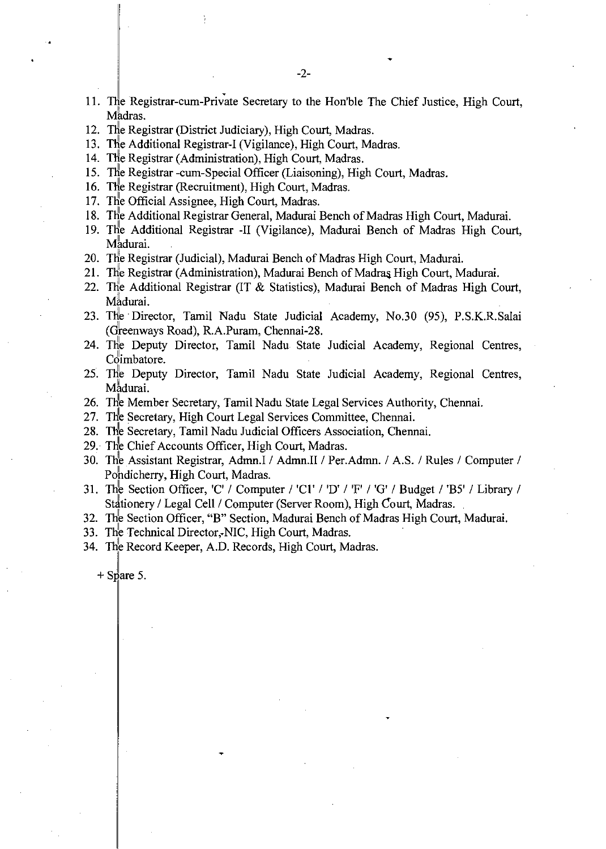- 11. The Registrar-cum-Private Secretary to the Honible The Chief Justice, High Court, Madras.
- 12. The Registrar (District Judiciary), High Court, Madras.
- 13. The Additional Registrar-I (Vigilance), High Court, Madras.
- 14. The Registrar (Administration), High Court, Madras.
- 15. The Registrar -cum-Special Officer (Liaisoning), High Court, Madras.
- 16. The Registrar (Recruitment), High Court, Madras.
- 17. The Official Assignee, High Court, Madras.
- 18. The Additional Registrar General, Madurai Bench of Madras High Court, Madurai.
- 19. The Additional Registrar -II (Vigilance), Madurai Bench of Madras High Court, Madurai.
- 20. The Registrar (Judicial), Madurai Bench of Madras High Court, Madurai.
- 21. The Registrar (Administration), Madurai Bench of Madras High Court, Madurai.
- 22. The Additional Registrar (IT & Statistics), Madurai Bench of Madras High Court, Madurai.
- 23. The Director, Tamil Nadu State Judicial Academy, No.30 (95), P.S.K.R.Salai (Greenways Road), R.A.Puram, Chennai-28.
- 24. The Deputy Director, Tamil Nadu State Judicial Academy, Regional Centres, Coimbatore.
- 25. The Deputy Director, Tamil Nadu State Judicial Academy, Regional Centres, Madurai.
- 26. The Member Secretary, Tamil Nadu State Legal Services Authority, Chennai.
- 27. The Secretary, High Court Legal Services Committee, Chennai.
- 28. The Secretary, Tamil Nadu Judicial Officers Association, Chennai.
- 29. The Chief Accounts Officer, High Court, Madras.
- 30. The Assistant Registrar, Admn.I / Admn.II / Per.Admn. / A.S. / Rules / Computer / Pondicherry, High Court, Madras.
- 31. The Section Officer, 'C' / Computer / 'C1' / 'D' / 'F' / 'G' / Budget / 'B5' / Library / Stationery / Legal Cell / Computer (Server Room), High Court, Madras.
- 32. The Section Officer, "B" Section, Madurai Bench of Madras High Court, Madurai.
- 33. The Technical Director,-NIC, High Court, Madras.
- 34. The Record Keeper, A.D. Records, High Court, Madras.

 $+$  Spare 5.